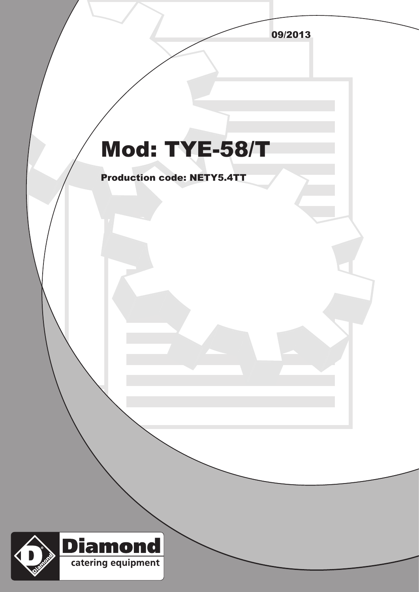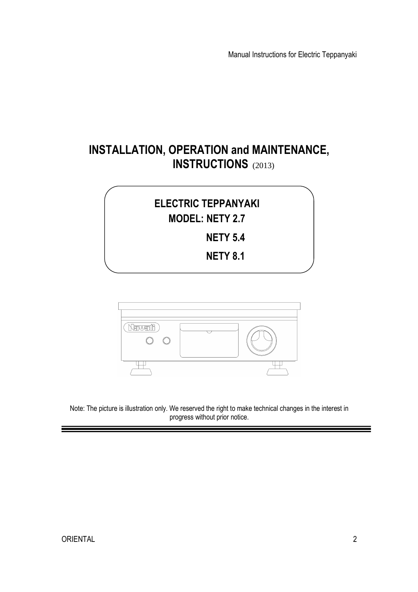Manual Instructions for Electric Teppanyaki

# **INSTALLATION, OPERATION and MAINTENANCE, INSTRUCTIONS** (2013)

# **ELECTRIC TEPPANYAKI MODEL: NETY 2.7 NETY 5.4 NETY 8.1**



Note: The picture is illustration only. We reserved the right to make technical changes in the interest in progress without prior notice.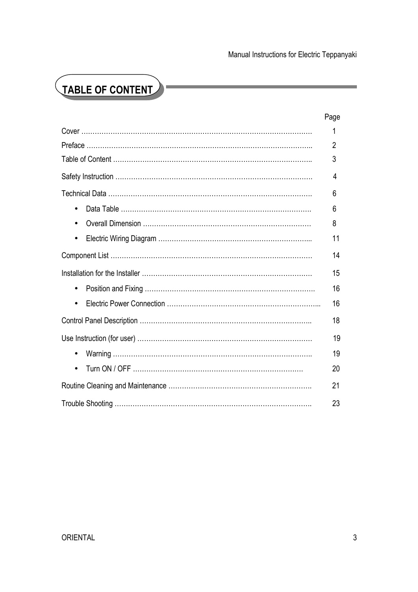# **TABLE OF CONTENT**

|           | Page |
|-----------|------|
|           | 1    |
|           | 2    |
|           | 3    |
|           | 4    |
|           | 6    |
|           | 6    |
|           | 8    |
| $\bullet$ | 11   |
|           | 14   |
|           | 15   |
| $\bullet$ | 16   |
|           | 16   |
|           | 18   |
|           | 19   |
| $\bullet$ | 19   |
| $\bullet$ | 20   |
|           | 21   |
|           | 23   |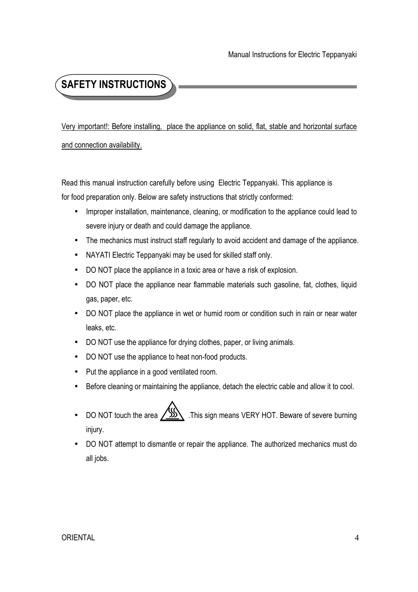# **SAFETY INSTRUCTIONS**

Very important!: Before installing, place the appliance on solid, flat, stable and horizontal surface and connection availability.

Read this manual instruction carefully before using Electric Teppanyaki. This appliance is for food preparation only. Below are safety instructions that strictly conformed:

- Improper installation, maintenance, cleaning, or modification to the appliance could lead to severe injury or death and could damage the appliance.
- The mechanics must instruct staff regularly to avoid accident and damage of the appliance.
- NAYATI Electric Teppanyaki may be used for skilled staff only.
- DO NOT place the appliance in a toxic area or have a risk of explosion.
- DO NOT place the appliance near flammable materials such gasoline, fat, clothes, liquid gas, paper, etc.
- DO NOT place the appliance in wet or humid room or condition such in rain or near water leaks, etc.
- DO NOT use the appliance for drying clothes, paper, or living animals.
- DO NOT use the appliance to heat non-food products.
- Put the appliance in a good ventilated room.
- Before cleaning or maintaining the appliance, detach the electric cable and allow it to cool.
- DO NOT touch the area  $\sqrt{\frac{100}{100}}$ . This sign means VERY HOT. Beware of severe burning injury.
- DO NOT attempt to dismantle or repair the appliance. The authorized mechanics must do all jobs.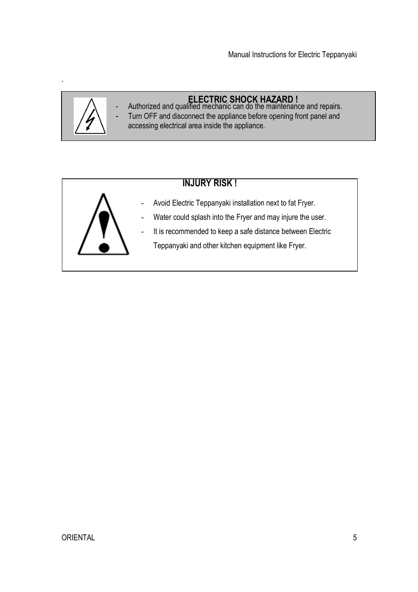

.

## **ELECTRIC SHOCK HAZARD !**

- Authorized and qualified mechanic can do the maintenance and repairs. Turn OFF and disconnect the appliance before opening front panel and
	- accessing electrical area inside the appliance.

## **INJURY RISK !**



- Avoid Electric Teppanyaki installation next to fat Fryer.
- Water could splash into the Fryer and may injure the user.
- It is recommended to keep a safe distance between Electric
	- Teppanyaki and other kitchen equipment like Fryer.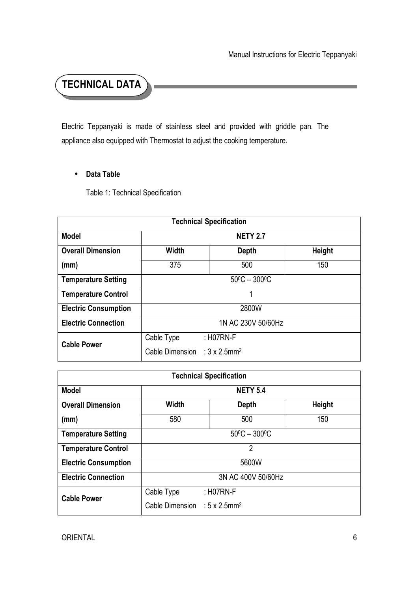**TECHNICAL DATA**

Electric Teppanyaki is made of stainless steel and provided with griddle pan. The appliance also equipped with Thermostat to adjust the cooking temperature.

#### • **Data Table**

Table 1: Technical Specification

| <b>Technical Specification</b> |                                                  |             |               |  |
|--------------------------------|--------------------------------------------------|-------------|---------------|--|
| <b>Model</b>                   | <b>NETY 2.7</b>                                  |             |               |  |
| <b>Overall Dimension</b>       | <b>Width</b>                                     | Depth       | <b>Height</b> |  |
| (mm)                           | 375<br>500<br>150                                |             |               |  |
| <b>Temperature Setting</b>     | $50^{\circ}$ C - 300 $^{\circ}$ C                |             |               |  |
| <b>Temperature Control</b>     | 1                                                |             |               |  |
| <b>Electric Consumption</b>    | 2800W                                            |             |               |  |
| <b>Electric Connection</b>     | 1N AC 230V 50/60Hz                               |             |               |  |
| <b>Cable Power</b>             | Cable Type                                       | $:$ H07RN-F |               |  |
|                                | Cable Dimension : $3 \times 2.5$ mm <sup>2</sup> |             |               |  |

| <b>Technical Specification</b> |                                                  |              |               |
|--------------------------------|--------------------------------------------------|--------------|---------------|
| <b>Model</b>                   | <b>NETY 5.4</b>                                  |              |               |
| <b>Overall Dimension</b>       | <b>Width</b>                                     | <b>Depth</b> | <b>Height</b> |
| (mm)                           | 580<br>500                                       |              | 150           |
| <b>Temperature Setting</b>     | $50^{\circ}$ C - 300 $^{\circ}$ C                |              |               |
| <b>Temperature Control</b>     | 2                                                |              |               |
| <b>Electric Consumption</b>    | 5600W                                            |              |               |
| <b>Electric Connection</b>     | 3N AC 400V 50/60Hz                               |              |               |
| <b>Cable Power</b>             | Cable Type                                       | $:$ H07RN-F  |               |
|                                | Cable Dimension : $5 \times 2.5$ mm <sup>2</sup> |              |               |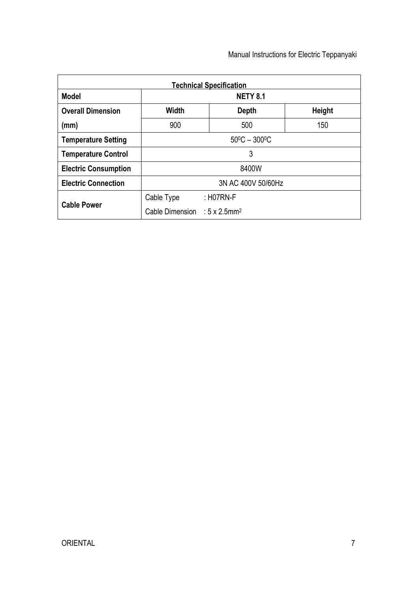| <b>Technical Specification</b> |                                                  |             |     |
|--------------------------------|--------------------------------------------------|-------------|-----|
| <b>Model</b>                   | <b>NETY 8.1</b>                                  |             |     |
| <b>Overall Dimension</b>       | <b>Width</b><br><b>Height</b><br><b>Depth</b>    |             |     |
| (mm)                           | 900                                              | 500         | 150 |
| <b>Temperature Setting</b>     | $50^{\circ}$ C - 300 $^{\circ}$ C                |             |     |
| <b>Temperature Control</b>     | 3                                                |             |     |
| <b>Electric Consumption</b>    | 8400W                                            |             |     |
| <b>Electric Connection</b>     | 3N AC 400V 50/60Hz                               |             |     |
| <b>Cable Power</b>             | Cable Type                                       | $:$ H07RN-F |     |
|                                | Cable Dimension : $5 \times 2.5$ mm <sup>2</sup> |             |     |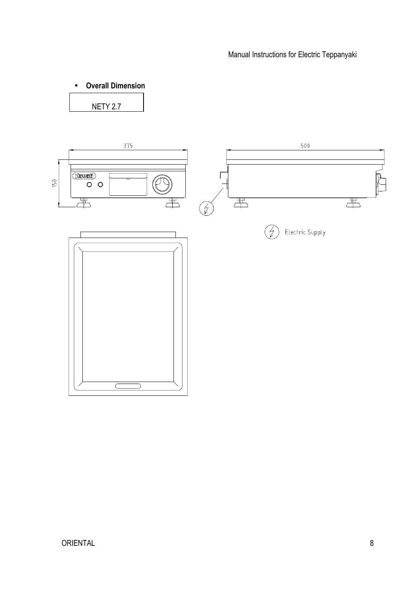• **Overall Dimension**  NETY 2.7

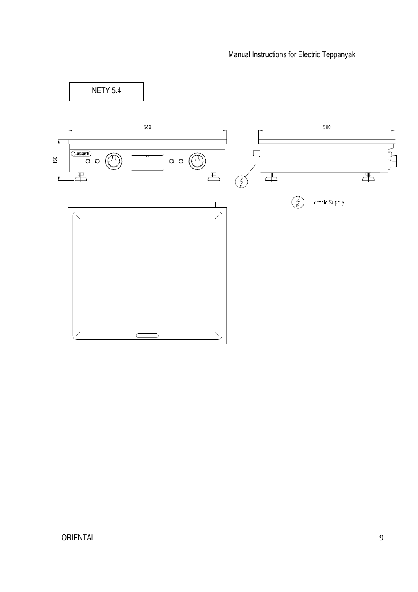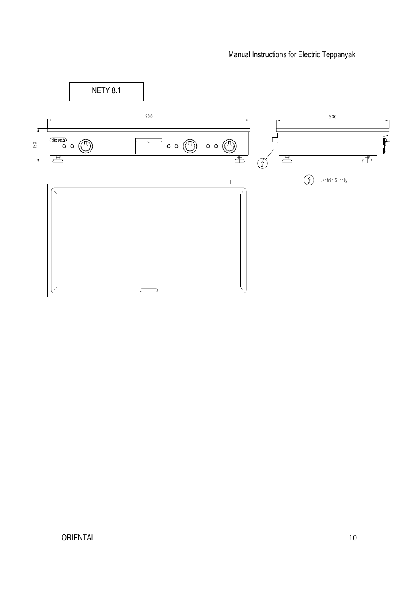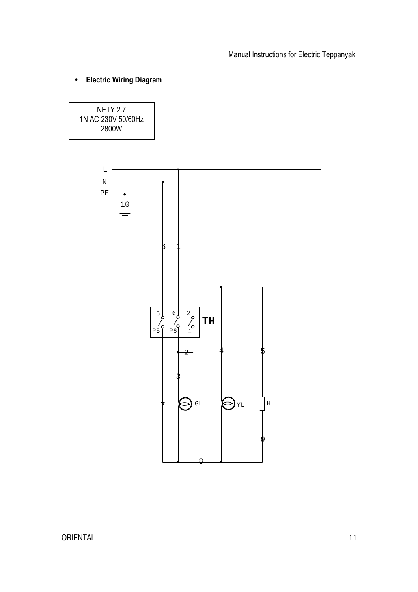• **Electric Wiring Diagram** 

NETY 2.7 1N AC 230V 50/60Hz 2800W

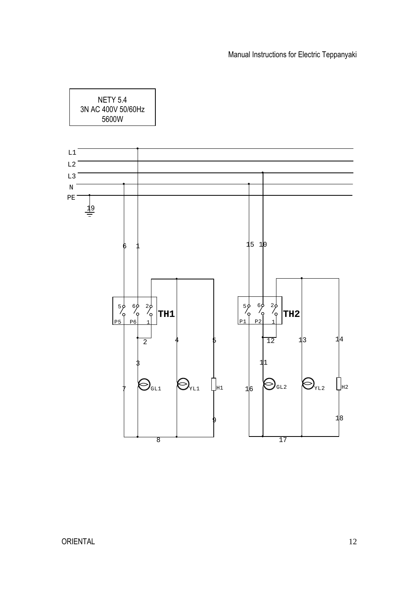NETY 5.4 3N AC 400V 50/60Hz 5600W

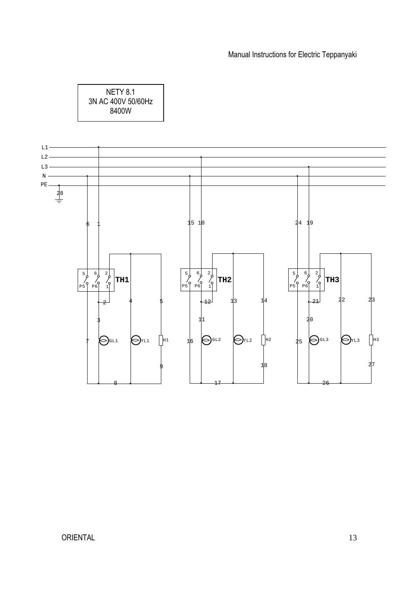NETY 8.1 3N AC 400V 50/60Hz 8400W

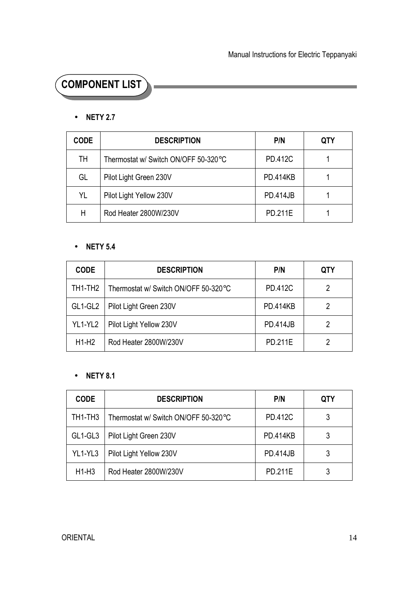# **COMPONENT LIST**

#### • **NETY 2.7**

| <b>CODE</b> | <b>DESCRIPTION</b>                   | P/N             | QTY |
|-------------|--------------------------------------|-----------------|-----|
| TН          | Thermostat w/ Switch ON/OFF 50-320°C | <b>PD.412C</b>  |     |
| GL          | Pilot Light Green 230V               | <b>PD.414KB</b> |     |
| YL          | Pilot Light Yellow 230V              | <b>PD.414JB</b> |     |
| Н           | Rod Heater 2800W/230V                | <b>PD.211E</b>  |     |

#### • **NETY 5.4**

| <b>CODE</b> | <b>DESCRIPTION</b>                   | P/N             | <b>QTY</b> |
|-------------|--------------------------------------|-----------------|------------|
| TH1-TH2     | Thermostat w/ Switch ON/OFF 50-320°C | PD.412C         |            |
| GL1-GL2     | Pilot Light Green 230V               | <b>PD.414KB</b> |            |
| YL1-YL2     | Pilot Light Yellow 230V              | <b>PD.414JB</b> |            |
| $H1-H2$     | Rod Heater 2800W/230V                | PD.211E         |            |

#### • **NETY 8.1**

| <b>CODE</b> | <b>DESCRIPTION</b>                   | P/N             | QTY |
|-------------|--------------------------------------|-----------------|-----|
| TH1-TH3     | Thermostat w/ Switch ON/OFF 50-320°C | <b>PD.412C</b>  |     |
| GL1-GL3     | Pilot Light Green 230V               | <b>PD.414KB</b> |     |
| YL1-YL3     | Pilot Light Yellow 230V              | <b>PD.414JB</b> |     |
| $H1-H3$     | Rod Heater 2800W/230V                | PD.211E         |     |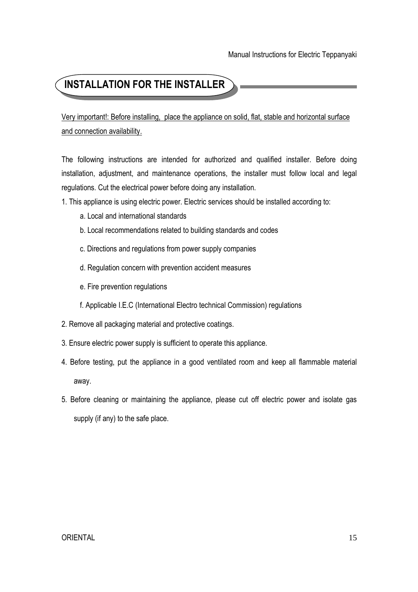# **INSTALLATION FOR THE INSTALLER**

Very important!: Before installing, place the appliance on solid, flat, stable and horizontal surface and connection availability.

The following instructions are intended for authorized and qualified installer. Before doing installation, adjustment, and maintenance operations, the installer must follow local and legal regulations. Cut the electrical power before doing any installation.

- 1. This appliance is using electric power. Electric services should be installed according to:
	- a. Local and international standards
	- b. Local recommendations related to building standards and codes
	- c. Directions and regulations from power supply companies
	- d. Regulation concern with prevention accident measures
	- e. Fire prevention regulations
	- f. Applicable I.E.C (International Electro technical Commission) regulations
- 2. Remove all packaging material and protective coatings.
- 3. Ensure electric power supply is sufficient to operate this appliance.
- 4. Before testing, put the appliance in a good ventilated room and keep all flammable material away.
- 5. Before cleaning or maintaining the appliance, please cut off electric power and isolate gas supply (if any) to the safe place.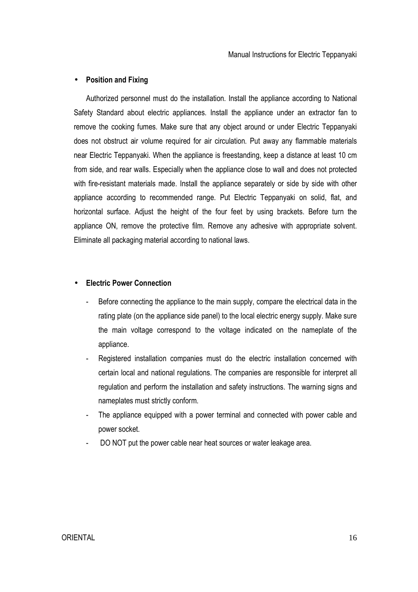#### • **Position and Fixing**

 Authorized personnel must do the installation. Install the appliance according to National Safety Standard about electric appliances. Install the appliance under an extractor fan to remove the cooking fumes. Make sure that any object around or under Electric Teppanyaki does not obstruct air volume required for air circulation. Put away any flammable materials near Electric Teppanyaki. When the appliance is freestanding, keep a distance at least 10 cm from side, and rear walls. Especially when the appliance close to wall and does not protected with fire-resistant materials made. Install the appliance separately or side by side with other appliance according to recommended range. Put Electric Teppanyaki on solid, flat, and horizontal surface. Adjust the height of the four feet by using brackets. Before turn the appliance ON, remove the protective film. Remove any adhesive with appropriate solvent. Eliminate all packaging material according to national laws.

#### • **Electric Power Connection**

- Before connecting the appliance to the main supply, compare the electrical data in the rating plate (on the appliance side panel) to the local electric energy supply. Make sure the main voltage correspond to the voltage indicated on the nameplate of the appliance.
- Registered installation companies must do the electric installation concerned with certain local and national regulations. The companies are responsible for interpret all regulation and perform the installation and safety instructions. The warning signs and nameplates must strictly conform.
- The appliance equipped with a power terminal and connected with power cable and power socket.
- DO NOT put the power cable near heat sources or water leakage area.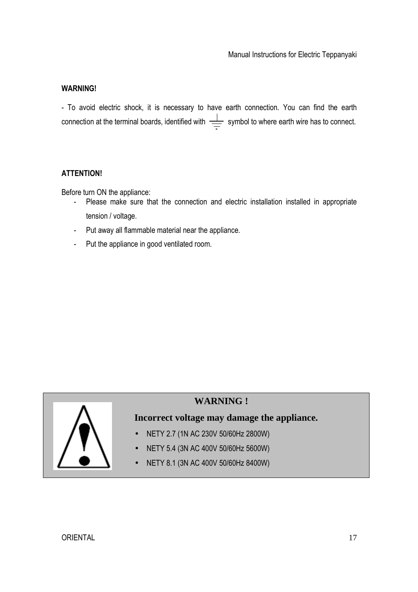#### **WARNING!**

- To avoid electric shock, it is necessary to have earth connection. You can find the earth connection at the terminal boards, identified with  $\frac{1}{\sqrt{1-\frac{1}{n}}}$  symbol to where earth wire has to connect.

#### **ATTENTION!**

Before turn ON the appliance:

- Please make sure that the connection and electric installation installed in appropriate tension / voltage.
- Put away all flammable material near the appliance.
- Put the appliance in good ventilated room.



### **WARNING !**

### **Incorrect voltage may damage the appliance.**

- NETY 2.7 (1N AC 230V 50/60Hz 2800W)
- NETY 5.4 (3N AC 400V 50/60Hz 5600W)
- NETY 8.1 (3N AC 400V 50/60Hz 8400W)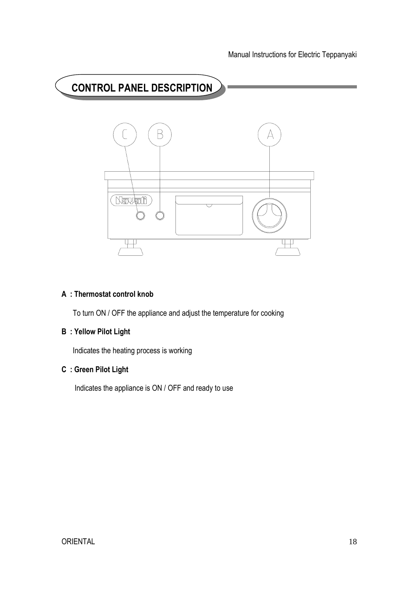

#### **A : Thermostat control knob**

To turn ON / OFF the appliance and adjust the temperature for cooking

### **B : Yellow Pilot Light**

Indicates the heating process is working

### **C : Green Pilot Light**

Indicates the appliance is ON / OFF and ready to use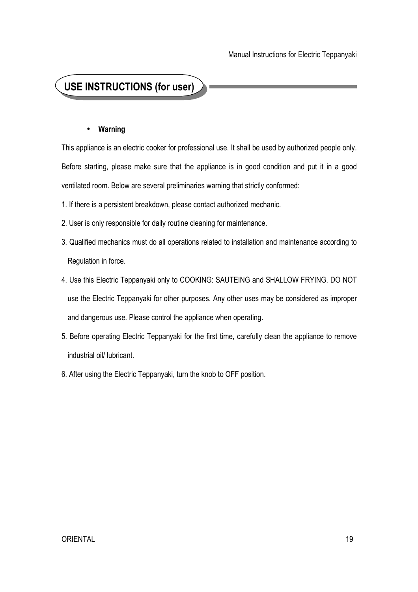## **USE INSTRUCTIONS (for user)**

#### • **Warning**

This appliance is an electric cooker for professional use. It shall be used by authorized people only. Before starting, please make sure that the appliance is in good condition and put it in a good ventilated room. Below are several preliminaries warning that strictly conformed:

- 1. If there is a persistent breakdown, please contact authorized mechanic.
- 2. User is only responsible for daily routine cleaning for maintenance.
- 3. Qualified mechanics must do all operations related to installation and maintenance according to Regulation in force.
- 4. Use this Electric Teppanyaki only to COOKING: SAUTEING and SHALLOW FRYING. DO NOT use the Electric Teppanyaki for other purposes. Any other uses may be considered as improper and dangerous use. Please control the appliance when operating.
- 5. Before operating Electric Teppanyaki for the first time, carefully clean the appliance to remove industrial oil/ lubricant.
- 6. After using the Electric Teppanyaki, turn the knob to OFF position.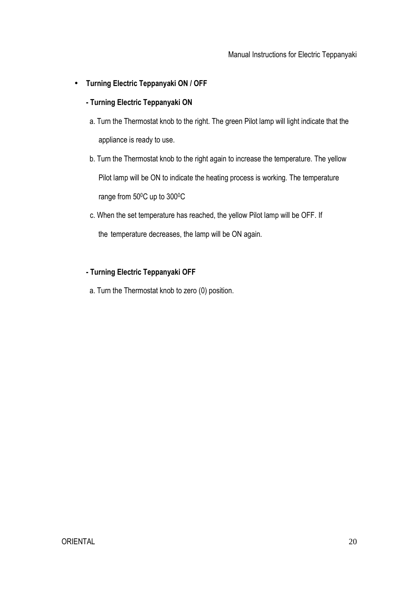• **Turning Electric Teppanyaki ON / OFF** 

#### **- Turning Electric Teppanyaki ON**

- a. Turn the Thermostat knob to the right. The green Pilot lamp will light indicate that the appliance is ready to use.
- b. Turn the Thermostat knob to the right again to increase the temperature. The yellow Pilot lamp will be ON to indicate the heating process is working. The temperature range from 50°C up to 300°C
- c. When the set temperature has reached, the yellow Pilot lamp will be OFF. If

the temperature decreases, the lamp will be ON again.

#### **- Turning Electric Teppanyaki OFF**

a. Turn the Thermostat knob to zero (0) position.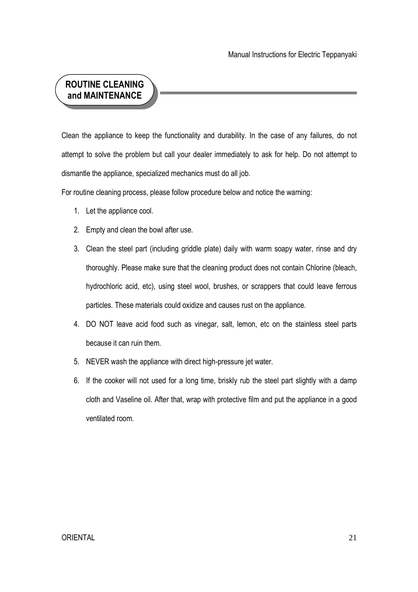## **ROUTINE CLEANING and MAINTENANCE**

Clean the appliance to keep the functionality and durability. In the case of any failures, do not attempt to solve the problem but call your dealer immediately to ask for help. Do not attempt to dismantle the appliance, specialized mechanics must do all job.

For routine cleaning process, please follow procedure below and notice the warning:

- 1. Let the appliance cool.
- 2. Empty and clean the bowl after use.
- 3. Clean the steel part (including griddle plate) daily with warm soapy water, rinse and dry thoroughly. Please make sure that the cleaning product does not contain Chlorine (bleach, hydrochloric acid, etc), using steel wool, brushes, or scrappers that could leave ferrous particles. These materials could oxidize and causes rust on the appliance.
- 4. DO NOT leave acid food such as vinegar, salt, lemon, etc on the stainless steel parts because it can ruin them.
- 5. NEVER wash the appliance with direct high-pressure jet water.
- 6. If the cooker will not used for a long time, briskly rub the steel part slightly with a damp cloth and Vaseline oil. After that, wrap with protective film and put the appliance in a good ventilated room.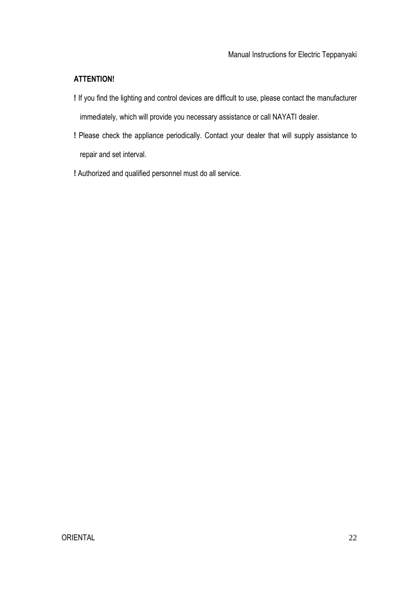#### **ATTENTION!**

- **!** If you find the lighting and control devices are difficult to use, please contact the manufacturer immediately, which will provide you necessary assistance or call NAYATI dealer.
- **!** Please check the appliance periodically. Contact your dealer that will supply assistance to repair and set interval.
- **!** Authorized and qualified personnel must do all service.